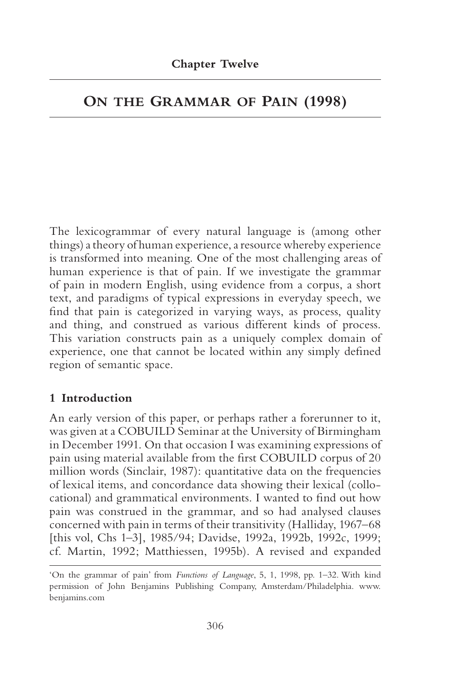# **ON THE GRAMMAR OF PAIN (1998)**

The lexicogrammar of every natural language is (among other things) a theory of human experience, a resource whereby experience is transformed into meaning. One of the most challenging areas of human experience is that of pain. If we investigate the grammar of pain in modern English, using evidence from a corpus, a short text, and paradigms of typical expressions in everyday speech, we find that pain is categorized in varying ways, as process, quality and thing, and construed as various different kinds of process. This variation constructs pain as a uniquely complex domain of experience, one that cannot be located within any simply defined region of semantic space.

## **1 Introduction**

An early version of this paper, or perhaps rather a forerunner to it, was given at a COBUILD Seminar at the University of Birmingham in December 1991. On that occasion I was examining expressions of pain using material available from the first COBUILD corpus of 20 million words (Sinclair, 1987): quantitative data on the frequencies of lexical items, and concordance data showing their lexical (collocational) and grammatical environments. I wanted to find out how pain was construed in the grammar, and so had analysed clauses concerned with pain in terms of their transitivity (Halliday, 1967–68 [this vol, Chs 1–3], 1985/94; Davidse, 1992a, 1992b, 1992c, 1999; cf. Martin, 1992; Matthiessen, 1995b). A revised and expanded

<sup>&#</sup>x27;On the grammar of pain' from *Functions of Language*, 5, 1, 1998, pp. 1–32. With kind permission of John Benjamins Publishing Company, Amsterdam/Philadelphia. www. benjamins.com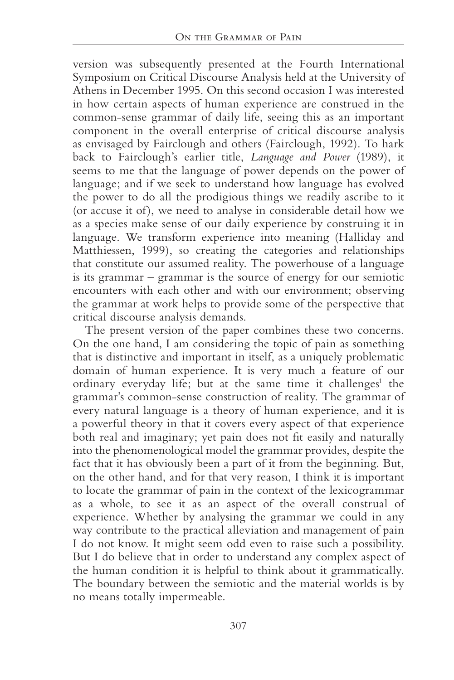version was subsequently presented at the Fourth International Symposium on Critical Discourse Analysis held at the University of Athens in December 1995. On this second occasion I was interested in how certain aspects of human experience are construed in the common-sense grammar of daily life, seeing this as an important component in the overall enterprise of critical discourse analysis as envisaged by Fairclough and others (Fairclough, 1992). To hark back to Fairclough's earlier title, *Language and Power* (1989), it seems to me that the language of power depends on the power of language; and if we seek to understand how language has evolved the power to do all the prodigious things we readily ascribe to it (or accuse it of), we need to analyse in considerable detail how we as a species make sense of our daily experience by construing it in language. We transform experience into meaning (Halliday and Matthiessen, 1999), so creating the categories and relationships that constitute our assumed reality. The powerhouse of a language is its grammar – grammar is the source of energy for our semiotic encounters with each other and with our environment; observing the grammar at work helps to provide some of the perspective that critical discourse analysis demands.

 The present version of the paper combines these two concerns. On the one hand, I am considering the topic of pain as something that is distinctive and important in itself, as a uniquely problematic domain of human experience. It is very much a feature of our ordinary everyday life; but at the same time it challenges<sup>1</sup> the grammar's common-sense construction of reality. The grammar of every natural language is a theory of human experience, and it is a powerful theory in that it covers every aspect of that experience both real and imaginary; yet pain does not fit easily and naturally into the phenomenological model the grammar provides, despite the fact that it has obviously been a part of it from the beginning. But, on the other hand, and for that very reason, I think it is important to locate the grammar of pain in the context of the lexicogrammar as a whole, to see it as an aspect of the overall construal of experience. Whether by analysing the grammar we could in any way contribute to the practical alleviation and management of pain I do not know. It might seem odd even to raise such a possibility. But I do believe that in order to understand any complex aspect of the human condition it is helpful to think about it grammatically. The boundary between the semiotic and the material worlds is by no means totally impermeable.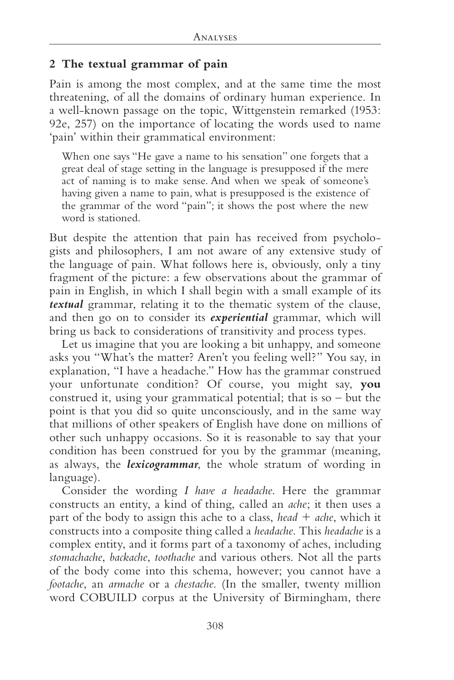#### **2 The textual grammar of pain**

Pain is among the most complex, and at the same time the most threatening, of all the domains of ordinary human experience. In a well-known passage on the topic, Wittgenstein remarked (1953: 92e, 257) on the importance of locating the words used to name 'pain' within their grammatical environment:

When one says "He gave a name to his sensation" one forgets that a great deal of stage setting in the language is presupposed if the mere act of naming is to make sense. And when we speak of someone's having given a name to pain, what is presupposed is the existence of the grammar of the word "pain"; it shows the post where the new word is stationed.

But despite the attention that pain has received from psychologists and philosophers, I am not aware of any extensive study of the language of pain. What follows here is, obviously, only a tiny fragment of the picture: a few observations about the grammar of pain in English, in which I shall begin with a small example of its *textual* grammar, relating it to the thematic system of the clause, and then go on to consider its *experiential* grammar, which will bring us back to considerations of transitivity and process types.

 Let us imagine that you are looking a bit unhappy, and someone asks you "What's the matter? Aren't you feeling well?" You say, in explanation, "I have a headache." How has the grammar construed your unfortunate condition? Of course, you might say, **you** construed it, using your grammatical potential; that is so – but the point is that you did so quite unconsciously, and in the same way that millions of other speakers of English have done on millions of other such unhappy occasions. So it is reasonable to say that your condition has been construed for you by the grammar (meaning, as always, the *lexicogrammar*, the whole stratum of wording in language).

 Consider the wording *I have a headache*. Here the grammar constructs an entity, a kind of thing, called an *ache*; it then uses a part of the body to assign this ache to a class, *head* + *ache*, which it constructs into a composite thing called a *headache*. This *headache* is a complex entity, and it forms part of a taxonomy of aches, including *stomachache*, *backache*, *toothache* and various others. Not all the parts of the body come into this schema, however; you cannot have a *footache*, an *armache* or a *chestache*. (In the smaller, twenty million word COBUILD corpus at the University of Birmingham, there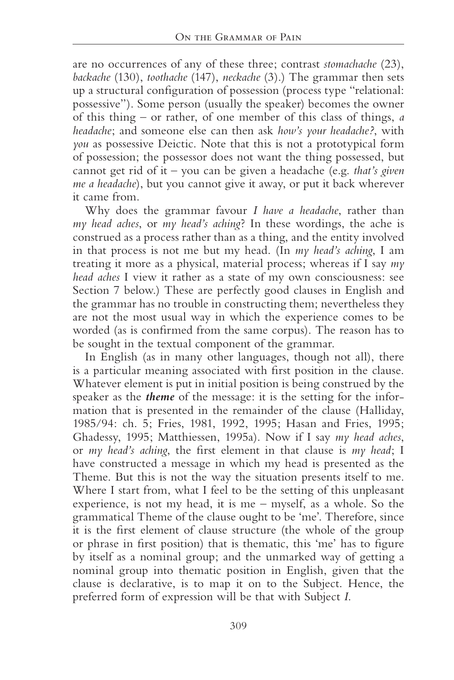are no occurrences of any of these three; contrast *stomachache* (23), *backache* (130), *toothache* (147), *neckache* (3).) The grammar then sets up a structural configuration of possession (process type "relational: possessive"). Some person (usually the speaker) becomes the owner of this thing – or rather, of one member of this class of things, *a headache*; and someone else can then ask *how's your headache?*, with *you* as possessive Deictic. Note that this is not a prototypical form of possession; the possessor does not want the thing possessed, but cannot get rid of it – you can be given a headache (e.g. *that's given me a headache*), but you cannot give it away, or put it back wherever it came from.

 Why does the grammar favour *I have a headache*, rather than *my head aches*, or *my head's aching*? In these wordings, the ache is construed as a process rather than as a thing, and the entity involved in that process is not me but my head. (In *my head's aching*, I am treating it more as a physical, material process; whereas if I say *my head aches* I view it rather as a state of my own consciousness: see Section 7 below.) These are perfectly good clauses in English and the grammar has no trouble in constructing them; nevertheless they are not the most usual way in which the experience comes to be worded (as is confirmed from the same corpus). The reason has to be sought in the textual component of the grammar.

 In English (as in many other languages, though not all), there is a particular meaning associated with first position in the clause. Whatever element is put in initial position is being construed by the speaker as the *theme* of the message: it is the setting for the information that is presented in the remainder of the clause (Halliday, 1985/94: ch. 5; Fries, 1981, 1992, 1995; Hasan and Fries, 1995; Ghadessy, 1995; Matthiessen, 1995a). Now if I say *my head aches*, or *my head's aching*, the first element in that clause is *my head*; I have constructed a message in which my head is presented as the Theme. But this is not the way the situation presents itself to me. Where I start from, what I feel to be the setting of this unpleasant experience, is not my head, it is me – myself, as a whole. So the grammatical Theme of the clause ought to be 'me'. Therefore, since it is the first element of clause structure (the whole of the group or phrase in first position) that is thematic, this 'me' has to figure by itself as a nominal group; and the unmarked way of getting a nominal group into thematic position in English, given that the clause is declarative, is to map it on to the Subject. Hence, the preferred form of expression will be that with Subject *I*.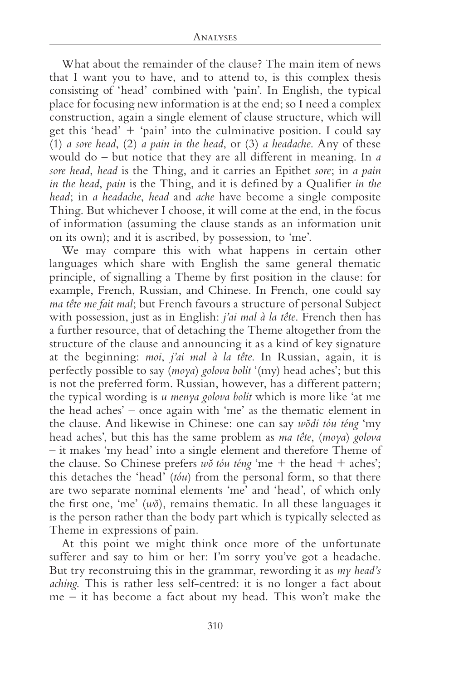What about the remainder of the clause? The main item of news that I want you to have, and to attend to, is this complex thesis consisting of 'head' combined with 'pain'. In English, the typical place for focusing new information is at the end; so I need a complex construction, again a single element of clause structure, which will get this 'head' - 'pain' into the culminative position. I could say (1) *a sore head*, (2) *a pain in the head*, or (3) *a headache*. Any of these would do – but notice that they are all different in meaning. In *a sore head*, *head* is the Thing, and it carries an Epithet *sore*; in *a pain in the head, pain* is the Thing, and it is defined by a Qualifier *in the head*; in *a headache*, *head* and *ache* have become a single composite Thing. But whichever I choose, it will come at the end, in the focus of information (assuming the clause stands as an information unit on its own); and it is ascribed, by possession, to 'me'.

 We may compare this with what happens in certain other languages which share with English the same general thematic principle, of signalling a Theme by first position in the clause: for example, French, Russian, and Chinese. In French, one could say *ma tête me fait mal*; but French favours a structure of personal Subject with possession, just as in English: *j'ai mal à la tête*. French then has a further resource, that of detaching the Theme altogether from the structure of the clause and announcing it as a kind of key signature at the beginning: *moi*, *j'ai mal à la tête*. In Russian, again, it is perfectly possible to say (*moya*) *golova bolit* '(my) head aches'; but this is not the preferred form. Russian, however, has a different pattern; the typical wording is *u menya golova bolit* which is more like 'at me the head aches' – once again with 'me' as the thematic element in the clause. And likewise in Chinese: one can say *wo˘di tóu téng* 'my head aches', but this has the same problem as *ma tête*, (*moya*) *golova* – it makes 'my head' into a single element and therefore Theme of the clause. So Chinese prefers *wŏ tou téng* 'me + the head + aches'; this detaches the 'head' (*tóu*) from the personal form, so that there are two separate nominal elements 'me' and 'head', of which only the first one, 'me' (*w*ŏ), remains thematic. In all these languages it is the person rather than the body part which is typically selected as Theme in expressions of pain.

 At this point we might think once more of the unfortunate sufferer and say to him or her: I'm sorry you've got a headache. But try reconstruing this in the grammar, rewording it as *my head's aching*. This is rather less self-centred: it is no longer a fact about me – it has become a fact about my head. This won't make the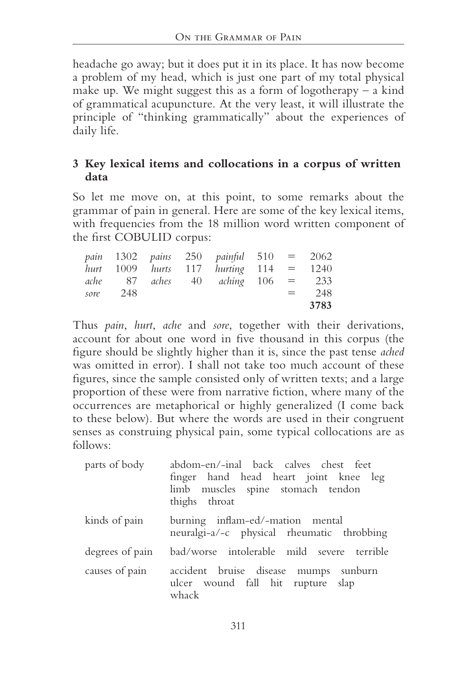headache go away; but it does put it in its place. It has now become a problem of my head, which is just one part of my total physical make up. We might suggest this as a form of logotherapy  $-$  a kind of grammatical acupuncture. At the very least, it will illustrate the principle of "thinking grammatically" about the experiences of daily life.

# **3 Key lexical items and collocations in a corpus of written data**

So let me move on, at this point, to some remarks about the grammar of pain in general. Here are some of the key lexical items, with frequencies from the 18 million word written component of the first COBULID corpus:

|          |  | <i>pain</i> $1302$ <i>pains</i> $250$ <i>painful</i> $510 = 2062$ |         |      |
|----------|--|-------------------------------------------------------------------|---------|------|
|          |  | hurt $1009$ hurts $117$ hurting $114 = 1240$                      |         |      |
|          |  | ache 87 aches 40 aching 106 = 233                                 |         |      |
| sore 248 |  |                                                                   | $=$ $-$ | 248  |
|          |  |                                                                   |         | 3783 |

Thus *pain*, *hurt*, *ache* and *sore*, together with their derivations, account for about one word in five thousand in this corpus (the figure should be slightly higher than it is, since the past tense *ached* was omitted in error). I shall not take too much account of these figures, since the sample consisted only of written texts; and a large proportion of these were from narrative fiction, where many of the occurrences are metaphorical or highly generalized (I come back to these below). But where the words are used in their congruent senses as construing physical pain, some typical collocations are as follows:

| parts of body   | abdom-en/-inal back calves chest feet<br>finger hand head heart joint knee leg<br>limb muscles spine stomach tendon<br>thighs throat |
|-----------------|--------------------------------------------------------------------------------------------------------------------------------------|
| kinds of pain   | burning inflam-ed/-mation mental<br>neuralgi-a/-c physical rheumatic throbbing                                                       |
| degrees of pain | bad/worse intolerable mild severe terrible                                                                                           |
| causes of pain  | accident bruise disease mumps sunburn<br>ulcer wound fall hit rupture slap<br>whack                                                  |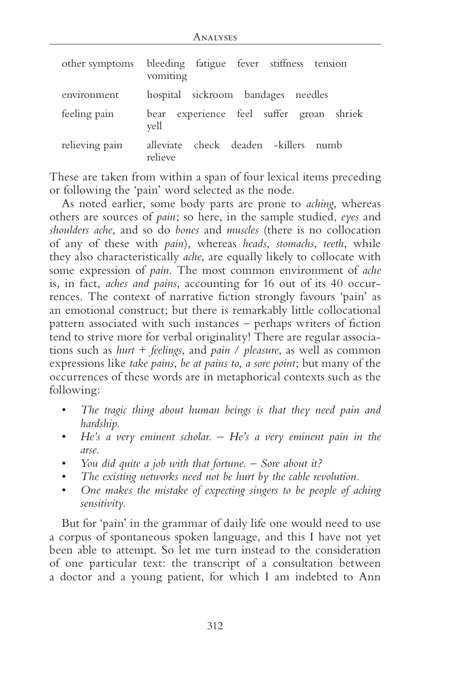| other symptoms | bleeding fatigue fever stiffness tension<br>vomiting |
|----------------|------------------------------------------------------|
| environment    | hospital sickroom bandages needles                   |
| feeling pain   | bear experience feel suffer groan shriek<br>yell     |
| relieving pain | alleviate check deaden -killers numb<br>relieve      |

These are taken from within a span of four lexical items preceding or following the 'pain' word selected as the node.

 As noted earlier, some body parts are prone to *aching*, whereas others are sources of *pain*; so here, in the sample studied, *eyes* and *shoulders ache*, and so do *bones* and *muscles* (there is no collocation of any of these with *pain*), whereas *heads*, *stomachs*, *teeth*, while they also characteristically *ache*, are equally likely to collocate with some expression of *pain*. The most common environment of *ache* is, in fact, *aches and pains*, accounting for 16 out of its 40 occurrences. The context of narrative fiction strongly favours 'pain' as an emotional construct; but there is remarkably little collocational pattern associated with such instances – perhaps writers of fiction tend to strive more for verbal originality! There are regular associations such as *hurt* + *feelings*, and *pain* / *pleasure*, as well as common expressions like *take pains*, *be at pains to*, *a sore point*; but many of the occurrences of these words are in metaphorical contexts such as the following:

- *The tragic thing about human beings is that they need pain and hardship.*
- • *He's a very eminent scholar. He's a very eminent pain in the arse.*
- • *You did quite a job with that fortune. Sore about it?*
- • *The existing networks need not be hurt by the cable revolution.*
- • *One makes the mistake of expecting singers to be people of aching sensitivity.*

 But for 'pain' in the grammar of daily life one would need to use a corpus of spontaneous spoken language, and this I have not yet been able to attempt. So let me turn instead to the consideration of one particular text: the transcript of a consultation between a doctor and a young patient, for which I am indebted to Ann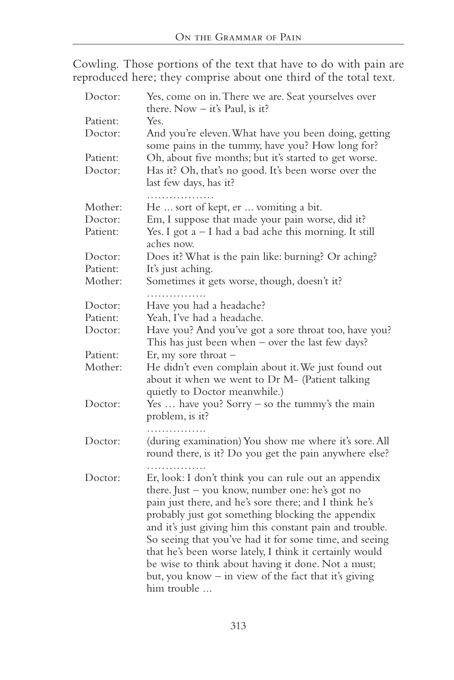Cowling. Those portions of the text that have to do with pain are reproduced here; they comprise about one third of the total text.

| Yes, come on in. There we are. Seat yourselves over<br>there. Now $-$ it's Paul, is it?                                                                                                                                                                                                                                                                                                                 |
|---------------------------------------------------------------------------------------------------------------------------------------------------------------------------------------------------------------------------------------------------------------------------------------------------------------------------------------------------------------------------------------------------------|
| Yes.                                                                                                                                                                                                                                                                                                                                                                                                    |
| And you're eleven. What have you been doing, getting<br>some pains in the tummy, have you? How long for?                                                                                                                                                                                                                                                                                                |
| Oh, about five months; but it's started to get worse.                                                                                                                                                                                                                                                                                                                                                   |
| Has it? Oh, that's no good. It's been worse over the<br>last few days, has it?                                                                                                                                                                                                                                                                                                                          |
| .<br>He  sort of kept, er  vomiting a bit.                                                                                                                                                                                                                                                                                                                                                              |
| Em, I suppose that made your pain worse, did it?                                                                                                                                                                                                                                                                                                                                                        |
| Yes. I got $a - I$ had a bad ache this morning. It still<br>aches now.                                                                                                                                                                                                                                                                                                                                  |
| Does it? What is the pain like: burning? Or aching?                                                                                                                                                                                                                                                                                                                                                     |
| It's just aching.                                                                                                                                                                                                                                                                                                                                                                                       |
| Sometimes it gets worse, though, doesn't it?                                                                                                                                                                                                                                                                                                                                                            |
| .<br>Have you had a headache?                                                                                                                                                                                                                                                                                                                                                                           |
| Yeah, I've had a headache.                                                                                                                                                                                                                                                                                                                                                                              |
| Have you? And you've got a sore throat too, have you?<br>This has just been when $-$ over the last few days?                                                                                                                                                                                                                                                                                            |
| Er, my sore throat $-$                                                                                                                                                                                                                                                                                                                                                                                  |
| He didn't even complain about it. We just found out<br>about it when we went to Dr M- (Patient talking<br>quietly to Doctor meanwhile.)                                                                                                                                                                                                                                                                 |
| Yes  have you? Sorry – so the tummy's the main<br>problem, is it?                                                                                                                                                                                                                                                                                                                                       |
| (during examination) You show me where it's sore. All<br>round there, is it? Do you get the pain anywhere else?                                                                                                                                                                                                                                                                                         |
| Er, look: I don't think you can rule out an appendix<br>there. Just – you know, number one: he's got no<br>pain just there, and he's sore there; and I think he's<br>probably just got something blocking the appendix<br>and it's just giving him this constant pain and trouble.<br>So seeing that you've had it for some time, and seeing<br>that he's been worse lately, I think it certainly would |
|                                                                                                                                                                                                                                                                                                                                                                                                         |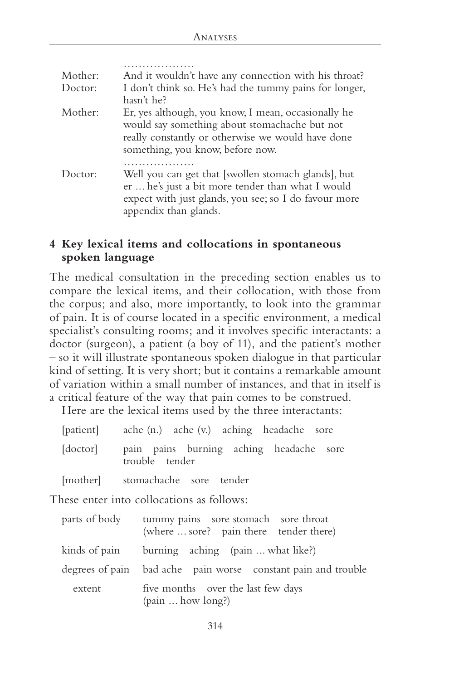| Mother:<br>Doctor: | And it wouldn't have any connection with his throat?<br>I don't think so. He's had the tummy pains for longer,<br>hasn't he?                                                                  |
|--------------------|-----------------------------------------------------------------------------------------------------------------------------------------------------------------------------------------------|
| Mother:            | Er, yes although, you know, I mean, occasionally he<br>would say something about stomachache but not<br>really constantly or otherwise we would have done<br>something, you know, before now. |
| Doctor:            | Well you can get that [swollen stomach glands], but<br>er  he's just a bit more tender than what I would<br>expect with just glands, you see; so I do favour more<br>appendix than glands.    |

## **4 Key lexical items and collocations in spontaneous spoken language**

The medical consultation in the preceding section enables us to compare the lexical items, and their collocation, with those from the corpus; and also, more importantly, to look into the grammar of pain. It is of course located in a specific environment, a medical specialist's consulting rooms; and it involves specific interactants: a doctor (surgeon), a patient (a boy of 11), and the patient's mother – so it will illustrate spontaneous spoken dialogue in that particular kind of setting. It is very short; but it contains a remarkable amount of variation within a small number of instances, and that in itself is a critical feature of the way that pain comes to be construed.

Here are the lexical items used by the three interactants:

| [patient] ache (n.) ache (v.) aching headache sore                 |
|--------------------------------------------------------------------|
| [doctor] pain pains burning aching headache sore<br>trouble tender |
| [mother] stomachache sore tender                                   |

These enter into collocations as follows:

| parts of body | tummy pains sore stomach sore throat<br>(where  sore? pain there tender there) |  |
|---------------|--------------------------------------------------------------------------------|--|
|               | kinds of pain burning aching (pain  what like?)                                |  |
|               | degrees of pain bad ache pain worse constant pain and trouble                  |  |
| extent        | five months over the last few days<br>$(pain \dots how long?)$                 |  |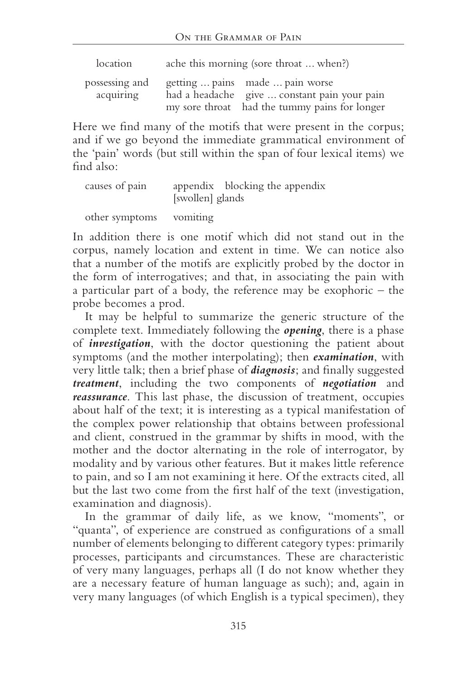| location                    | ache this morning (sore throat  when?) |                                                                                                                                  |  |
|-----------------------------|----------------------------------------|----------------------------------------------------------------------------------------------------------------------------------|--|
| possessing and<br>acquiring |                                        | getting  pains made  pain worse<br>had a headache give  constant pain your pain<br>my sore throat had the tummy pains for longer |  |

Here we find many of the motifs that were present in the corpus; and if we go beyond the immediate grammatical environment of the 'pain' words (but still within the span of four lexical items) we find also:

| causes of pain          | appendix blocking the appendix<br>[swollen] glands |
|-------------------------|----------------------------------------------------|
| other symptoms vomiting |                                                    |

In addition there is one motif which did not stand out in the corpus, namely location and extent in time. We can notice also that a number of the motifs are explicitly probed by the doctor in the form of interrogatives; and that, in associating the pain with a particular part of a body, the reference may be exophoric – the probe becomes a prod.

 It may be helpful to summarize the generic structure of the complete text. Immediately following the *opening*, there is a phase of *investigation*, with the doctor questioning the patient about symptoms (and the mother interpolating); then *examination*, with very little talk; then a brief phase of *diagnosis*; and finally suggested *treatment*, including the two components of *negotiation* and *reassurance*. This last phase, the discussion of treatment, occupies about half of the text; it is interesting as a typical manifestation of the complex power relationship that obtains between professional and client, construed in the grammar by shifts in mood, with the mother and the doctor alternating in the role of interrogator, by modality and by various other features. But it makes little reference to pain, and so I am not examining it here. Of the extracts cited, all but the last two come from the first half of the text (investigation, examination and diagnosis).

 In the grammar of daily life, as we know, "moments", or "quanta", of experience are construed as configurations of a small number of elements belonging to different category types: primarily processes, participants and circumstances. These are characteristic of very many languages, perhaps all (I do not know whether they are a necessary feature of human language as such); and, again in very many languages (of which English is a typical specimen), they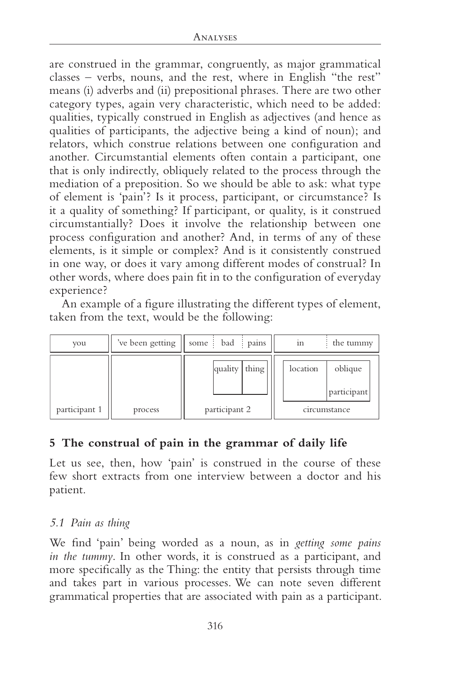are construed in the grammar, congruently, as major grammatical classes – verbs, nouns, and the rest, where in English "the rest" means (i) adverbs and (ii) prepositional phrases. There are two other category types, again very characteristic, which need to be added: qualities, typically construed in English as adjectives (and hence as qualities of participants, the adjective being a kind of noun); and relators, which construe relations between one configuration and another. Circumstantial elements often contain a participant, one that is only indirectly, obliquely related to the process through the mediation of a preposition. So we should be able to ask: what type of element is 'pain'? Is it process, participant, or circumstance? Is it a quality of something? If participant, or quality, is it construed circumstantially? Does it involve the relationship between one process configuration and another? And, in terms of any of these elements, is it simple or complex? And is it consistently construed in one way, or does it vary among different modes of construal? In other words, where does pain fit in to the configuration of everyday experience?

An example of a figure illustrating the different types of element, taken from the text, would be the following:

| you           | 've been getting | bad :<br>pains<br>some : | 1n       | the tummy              |
|---------------|------------------|--------------------------|----------|------------------------|
|               |                  | thing<br>quality         | location | oblique<br>participant |
| participant 1 | process          | participant 2            |          | circumstance           |

# **5 The construal of pain in the grammar of daily life**

Let us see, then, how 'pain' is construed in the course of these few short extracts from one interview between a doctor and his patient.

# *5.1 Pain as thing*

We find 'pain' being worded as a noun, as in *getting some pains in the tummy*. In other words, it is construed as a participant, and more specifically as the Thing: the entity that persists through time and takes part in various processes. We can note seven different grammatical properties that are associated with pain as a participant.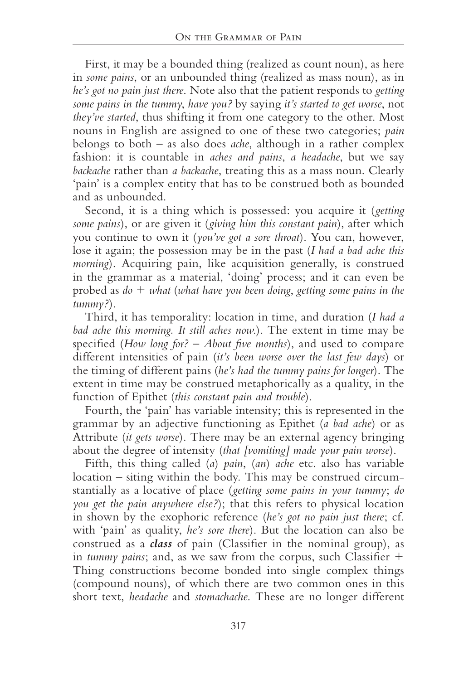First, it may be a bounded thing (realized as count noun), as here in *some pains*, or an unbounded thing (realized as mass noun), as in *he's got no pain just there*. Note also that the patient responds to *getting some pains in the tummy*, *have you?* by saying *it's started to get worse*, not *they've started*, thus shifting it from one category to the other. Most nouns in English are assigned to one of these two categories; *pain* belongs to both – as also does *ache*, although in a rather complex fashion: it is countable in *aches and pains*, *a headache*, but we say *backache* rather than *a backache*, treating this as a mass noun. Clearly 'pain' is a complex entity that has to be construed both as bounded and as unbounded.

 Second, it is a thing which is possessed: you acquire it (*getting some pains*), or are given it (*giving him this constant pain*), after which you continue to own it (*you've got a sore throat*). You can, however, lose it again; the possession may be in the past (*I had a bad ache this morning*). Acquiring pain, like acquisition generally, is construed in the grammar as a material, 'doing' process; and it can even be probed as *do* + what (what have you been doing, getting some pains in the *tummy?*).

 Third, it has temporality: location in time, and duration (*I had a bad ache this morning. It still aches now*.). The extent in time may be specified (*How long for? – About five months*), and used to compare different intensities of pain (*it's been worse over the last few days*) or the timing of different pains (*he's had the tummy pains for longer*). The extent in time may be construed metaphorically as a quality, in the function of Epithet (*this constant pain and trouble*).

 Fourth, the 'pain' has variable intensity; this is represented in the grammar by an adjective functioning as Epithet (*a bad ache*) or as Attribute (*it gets worse*). There may be an external agency bringing about the degree of intensity (*that [vomiting] made your pain worse*).

 Fifth, this thing called (*a*) *pain*, (*an*) *ache* etc. also has variable location – siting within the body. This may be construed circumstantially as a locative of place (*getting some pains in your tummy*; *do you get the pain anywhere else?*); that this refers to physical location in shown by the exophoric reference (*he's got no pain just there*; cf. with 'pain' as quality, *he's sore there*). But the location can also be construed as a *class* of pain (Classifier in the nominal group), as in *tummy pains*; and, as we saw from the corpus, such Classifier + Thing constructions become bonded into single complex things (compound nouns), of which there are two common ones in this short text, *headache* and *stomachache*. These are no longer different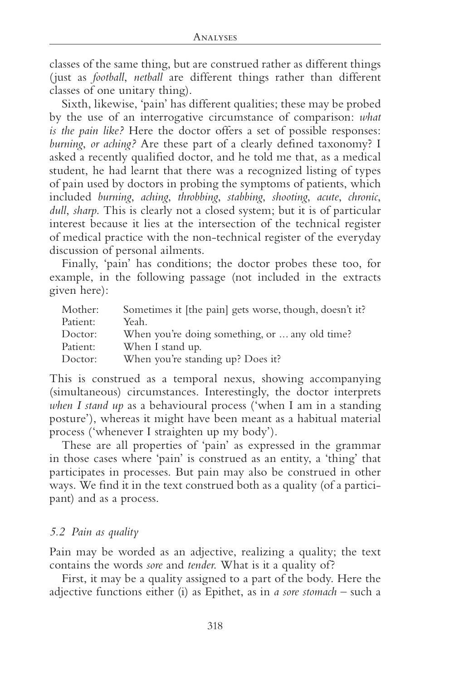classes of the same thing, but are construed rather as different things (just as *football*, *netball* are different things rather than different classes of one unitary thing).

 Sixth, likewise, 'pain' has different qualities; these may be probed by the use of an interrogative circumstance of comparison: *what is the pain like?* Here the doctor offers a set of possible responses: *burning*, *or aching?* Are these part of a clearly defined taxonomy? I asked a recently qualified doctor, and he told me that, as a medical student, he had learnt that there was a recognized listing of types of pain used by doctors in probing the symptoms of patients, which included *burning*, *aching*, *throbbing*, *stabbing*, *shooting*, *acute*, *chronic*, *dull*, *sharp*. This is clearly not a closed system; but it is of particular interest because it lies at the intersection of the technical register of medical practice with the non-technical register of the everyday discussion of personal ailments.

 Finally, 'pain' has conditions; the doctor probes these too, for example, in the following passage (not included in the extracts given here):

| Mother:  | Sometimes it [the pain] gets worse, though, doesn't it? |
|----------|---------------------------------------------------------|
| Patient: | Yeah.                                                   |
| Doctor:  | When you're doing something, or  any old time?          |
| Patient: | When I stand up.                                        |
| Doctor:  | When you're standing up? Does it?                       |

This is construed as a temporal nexus, showing accompanying (simultaneous) circumstances. Interestingly, the doctor interprets *when I stand up* as a behavioural process ('when I am in a standing posture'), whereas it might have been meant as a habitual material process ('whenever I straighten up my body').

 These are all properties of 'pain' as expressed in the grammar in those cases where 'pain' is construed as an entity, a 'thing' that participates in processes. But pain may also be construed in other ways. We find it in the text construed both as a quality (of a participant) and as a process.

#### *5.2 Pain as quality*

Pain may be worded as an adjective, realizing a quality; the text contains the words *sore* and *tender*. What is it a quality of?

 First, it may be a quality assigned to a part of the body. Here the adjective functions either (i) as Epithet, as in *a sore stomach* – such a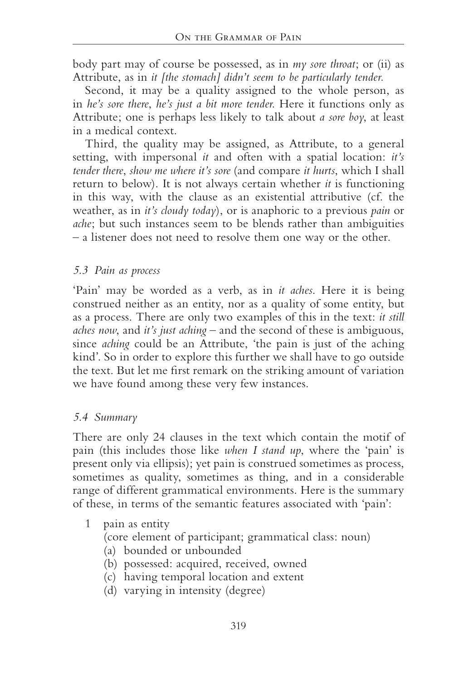body part may of course be possessed, as in *my sore throat*; or (ii) as Attribute, as in *it [the stomach] didn't seem to be particularly tender.*

 Second, it may be a quality assigned to the whole person, as in *he's sore there*, *he's just a bit more tender*. Here it functions only as Attribute; one is perhaps less likely to talk about *a sore boy*, at least in a medical context.

 Third, the quality may be assigned, as Attribute, to a general setting, with impersonal *it* and often with a spatial location: *it's tender there*, *show me where it's sore* (and compare *it hurts*, which I shall return to below). It is not always certain whether *it* is functioning in this way, with the clause as an existential attributive (cf. the weather, as in *it's cloudy today*), or is anaphoric to a previous *pain* or *ache*; but such instances seem to be blends rather than ambiguities – a listener does not need to resolve them one way or the other.

#### *5.3 Pain as process*

'Pain' may be worded as a verb, as in *it aches*. Here it is being construed neither as an entity, nor as a quality of some entity, but as a process. There are only two examples of this in the text: *it still aches now*, and *it's just aching* – and the second of these is ambiguous, since *aching* could be an Attribute, 'the pain is just of the aching kind'. So in order to explore this further we shall have to go outside the text. But let me first remark on the striking amount of variation we have found among these very few instances.

#### *5.4 Summary*

There are only 24 clauses in the text which contain the motif of pain (this includes those like *when I stand up*, where the 'pain' is present only via ellipsis); yet pain is construed sometimes as process, sometimes as quality, sometimes as thing, and in a considerable range of different grammatical environments. Here is the summary of these, in terms of the semantic features associated with 'pain':

1 pain as entity

(core element of participant; grammatical class: noun)

- (a) bounded or unbounded
- (b) possessed: acquired, received, owned
- (c) having temporal location and extent
- (d) varying in intensity (degree)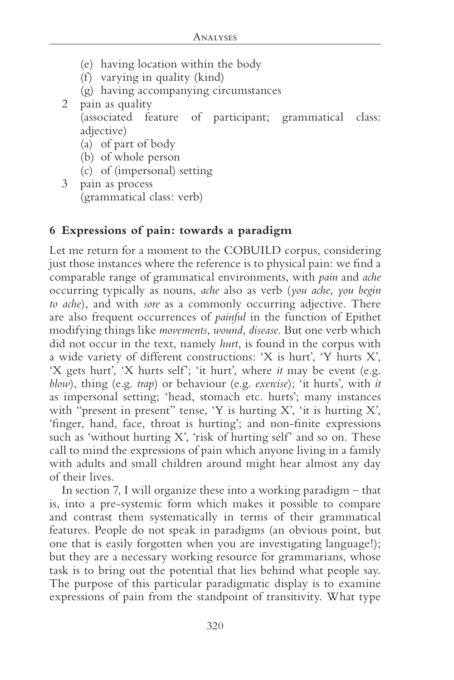- (e) having location within the body
- (f) varying in quality (kind)
- (g) having accompanying circumstances
- 2 pain as quality
	- (associated feature of participant; grammatical class: adjective)
	- (a) of part of body
	- (b) of whole person
	- (c) of (impersonal) setting
- 3 pain as process (grammatical class: verb)

#### **6 Expressions of pain: towards a paradigm**

Let me return for a moment to the COBUILD corpus, considering just those instances where the reference is to physical pain: we find a comparable range of grammatical environments, with *pain* and *ache* occurring typically as nouns, *ache* also as verb (*you ache*, *you begin to ache*), and with *sore* as a commonly occurring adjective. There are also frequent occurrences of *painful* in the function of Epithet modifying things like *movements*, *wound*, *disease*. But one verb which did not occur in the text, namely *hurt*, is found in the corpus with a wide variety of different constructions: 'X is hurt', 'Y hurts X', 'X gets hurt', 'X hurts self'; 'it hurt', where *it* may be event (e.g. *blow*), thing (e.g. *trap*) or behaviour (e.g. *exercise*); 'it hurts', with *it* as impersonal setting; 'head, stomach etc. hurts'; many instances with "present in present" tense, 'Y is hurting X', 'it is hurting X', 'finger, hand, face, throat is hurting'; and non-finite expressions such as 'without hurting X', 'risk of hurting self' and so on. These call to mind the expressions of pain which anyone living in a family with adults and small children around might hear almost any day of their lives.

 In section 7, I will organize these into a working paradigm – that is, into a pre-systemic form which makes it possible to compare and contrast them systematically in terms of their grammatical features. People do not speak in paradigms (an obvious point, but one that is easily forgotten when you are investigating language!); but they are a necessary working resource for grammarians, whose task is to bring out the potential that lies behind what people say. The purpose of this particular paradigmatic display is to examine expressions of pain from the standpoint of transitivity. What type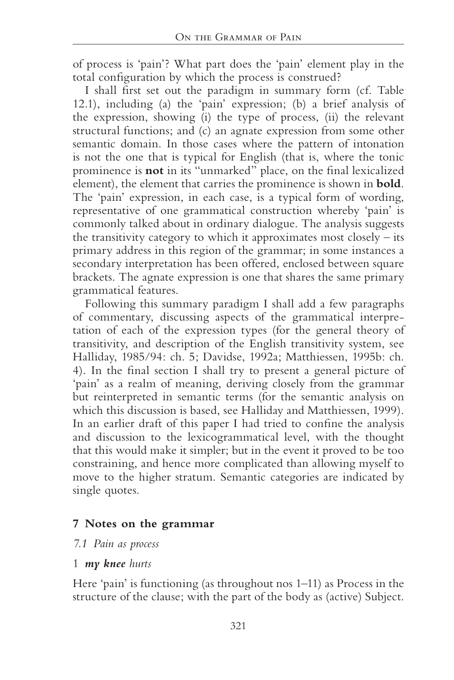of process is 'pain'? What part does the 'pain' element play in the total configuration by which the process is construed?

I shall first set out the paradigm in summary form (cf. Table 12.1), including (a) the 'pain' expression; (b) a brief analysis of the expression, showing (i) the type of process, (ii) the relevant structural functions; and (c) an agnate expression from some other semantic domain. In those cases where the pattern of intonation is not the one that is typical for English (that is, where the tonic prominence is **not** in its "unmarked" place, on the final lexicalized element), the element that carries the prominence is shown in **bold**. The 'pain' expression, in each case, is a typical form of wording, representative of one grammatical construction whereby 'pain' is commonly talked about in ordinary dialogue. The analysis suggests the transitivity category to which it approximates most closely  $-$  its primary address in this region of the grammar; in some instances a secondary interpretation has been offered, enclosed between square brackets. The agnate expression is one that shares the same primary grammatical features.

 Following this summary paradigm I shall add a few paragraphs of commentary, discussing aspects of the grammatical interpretation of each of the expression types (for the general theory of transitivity, and description of the English transitivity system, see Halliday, 1985/94: ch. 5; Davidse, 1992a; Matthiessen, 1995b: ch. 4). In the final section I shall try to present a general picture of 'pain' as a realm of meaning, deriving closely from the grammar but reinterpreted in semantic terms (for the semantic analysis on which this discussion is based, see Halliday and Matthiessen, 1999). In an earlier draft of this paper I had tried to confine the analysis and discussion to the lexicogrammatical level, with the thought that this would make it simpler; but in the event it proved to be too constraining, and hence more complicated than allowing myself to move to the higher stratum. Semantic categories are indicated by single quotes.

#### **7 Notes on the grammar**

#### *7.1 Pain as process*

#### 1 *my knee hurts*

Here 'pain' is functioning (as throughout nos 1–11) as Process in the structure of the clause; with the part of the body as (active) Subject.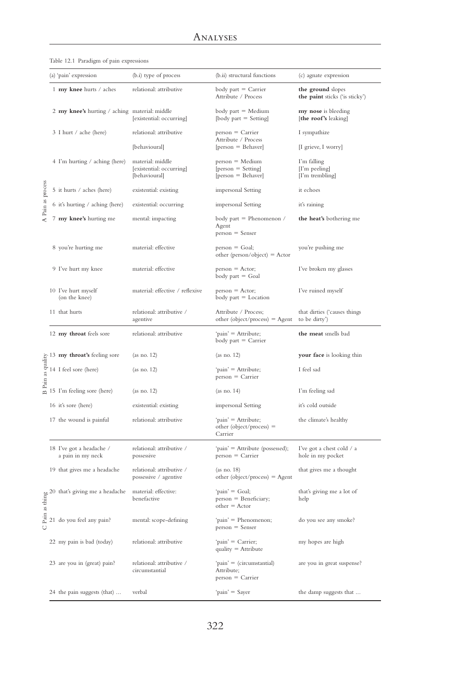| Table 12.1 Paradigm of pain expressions |  |  |  |
|-----------------------------------------|--|--|--|
|-----------------------------------------|--|--|--|

|                   | (a) 'pain' expression                                                                                                                                           | (b.i) type of process                                         | (b.ii) structural functions                                      | (c) agnate expression                               |
|-------------------|-----------------------------------------------------------------------------------------------------------------------------------------------------------------|---------------------------------------------------------------|------------------------------------------------------------------|-----------------------------------------------------|
| A Pain as process | 1 my knee hurts / aches                                                                                                                                         | relational: attributive                                       | body part $=$ Carrier<br>Attribute / Process                     | the ground slopes<br>the paint sticks ('is sticky') |
|                   | 2 my knee's hurting / aching material: middle                                                                                                                   | [existential: occurring]                                      | $body$ part = Medium<br>$[body part = Setting]$                  | my nose is bleeding<br>[the roof's leaking]         |
|                   | 3 I hurt / ache (here)                                                                                                                                          | relational: attributive                                       | $person = Carrier$                                               | I sympathize                                        |
|                   |                                                                                                                                                                 | [behavioural]                                                 | Attribute / Process<br>$[person = Behavior]$                     | [I grieve, I worry]                                 |
|                   | 4 I'm hurting / aching (here)                                                                                                                                   | material: middle<br>[existential: occurring]<br>[behavioural] | person = Medium<br>$[person = Setting]$<br>$[person = Behavior]$ | I'm falling<br>[I'm peeling]<br>[I'm trembling]     |
|                   | 5 it hurts / aches (here)                                                                                                                                       | existential: existing                                         | impersonal Setting                                               | it echoes                                           |
|                   | 6 it's hurting / aching (here)                                                                                                                                  | existential: occurring                                        | impersonal Setting                                               | it's raining                                        |
|                   | 7 my knee's hurting me                                                                                                                                          | mental: impacting                                             | body part = Phenomenon /<br>Agent<br>$person =Senser$            | the heat's bothering me                             |
|                   | 8 you're hurting me                                                                                                                                             | material: effective                                           | $person = Goal;$<br>other (person/object) = $ $ Actor            | you're pushing me                                   |
|                   | 9 I've hurt my knee                                                                                                                                             | material: effective                                           | $person = Actor;$<br>body part $=$ Goal                          | I've broken my glasses                              |
|                   | 10 I've hurt myself<br>(on the knee)                                                                                                                            | material: effective / reflexive                               | $person = Actor;$<br>$body$ part = Location                      | I've ruined myself                                  |
|                   | 11 that hurts                                                                                                                                                   | relational: attributive /<br>agentive                         | Attribute / Process;<br>other (object/process) = Agent           | that dirties ('causes things<br>to be dirty')       |
|                   | 12 my throat feels sore                                                                                                                                         | relational: attributive                                       | 'pain' = Attribute;<br>body part $=$ Carrier                     | the meat smells bad                                 |
|                   |                                                                                                                                                                 | (as no. 12)                                                   | (as no. 12)                                                      | your face is looking thin                           |
|                   | $\frac{25}{12}$ 13 <b>my throat's</b> feeling sore<br>$\frac{12}{14}$ 14 I feel sore (here)<br>$\frac{12}{14}$<br>$\frac{12}{12}$<br>15 I'm feeling sore (here) | (as no. 12)                                                   | 'pain' = Attribute;<br>$person = Carrier$                        | I feel sad                                          |
|                   |                                                                                                                                                                 | (as no. 12)                                                   | (as no. 14)                                                      | I'm feeling sad                                     |
|                   | 16 it's sore (here)                                                                                                                                             | existential: existing                                         | impersonal Setting                                               | it's cold outside                                   |
|                   | 17 the wound is painful                                                                                                                                         | relational: attributive                                       | 'pain' = Attribute;<br>other (object/process) =<br>Carrier       | the climate's healthy                               |
|                   | 18 I've got a headache /<br>a pain in my neck                                                                                                                   | relational: attributive /<br>possessive                       | 'pain' = Attribute (possessed);<br>$person = Carrier$            | I've got a chest cold / a<br>hole in my pocket      |
|                   |                                                                                                                                                                 | relational: attributive /<br>possessive / agentive            | (as no. 18)<br>other (object/process) = Agent                    | that gives me a thought                             |
|                   | c a headache<br>$\frac{56}{16}$ 20 that's giving me a headache<br>$\frac{8}{16}$<br>21 do $\cdot$                                                               | material: effective:<br>benefactive                           | 'pain' = $Goal$ ;<br>person = Beneficiary;<br>$other = Actor$    | that's giving me a lot of<br>help                   |
|                   |                                                                                                                                                                 | mental: scope-defining                                        | 'pain' = Phenomenon;<br>$person =Senser$                         | do you see any smoke?                               |
|                   | 22 my pain is bad (today)                                                                                                                                       | relational: attributive                                       | 'pain' = Carrier;<br>$quality =$ Attribute                       | my hopes are high                                   |
|                   | 23 are you in (great) pain?                                                                                                                                     | relational: attributive /<br>circumstantial                   | 'pain' = (circumstantial)<br>Attribute;<br>person = Carrier      | are you in great suspense?                          |
|                   | 24 the pain suggests (that)                                                                                                                                     | verbal                                                        | 'pain' = Sayer                                                   | the damp suggests that                              |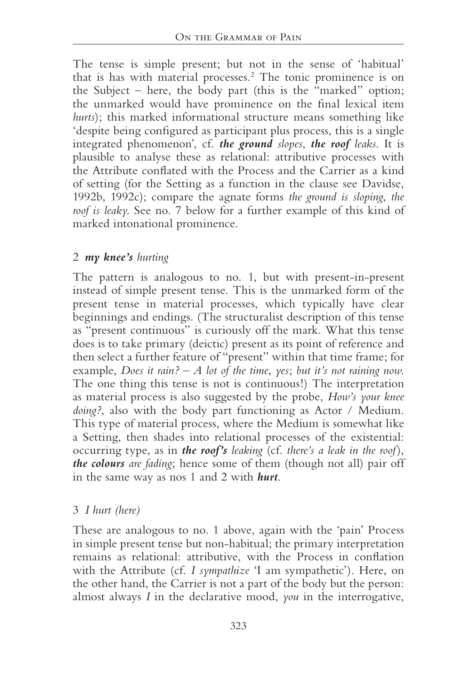The tense is simple present; but not in the sense of 'habitual' that is has with material processes.2 The tonic prominence is on the Subject – here, the body part (this is the  $\cdot$ marked" option; the unmarked would have prominence on the final lexical item *hurts*); this marked informational structure means something like 'despite being configured as participant plus process, this is a single integrated phenomenon', cf. *the ground slopes*, *the roof leaks*. It is plausible to analyse these as relational: attributive processes with the Attribute conflated with the Process and the Carrier as a kind of setting (for the Setting as a function in the clause see Davidse, 1992b, 1992c); compare the agnate forms *the ground is sloping*, *the roof is leaky*. See no. 7 below for a further example of this kind of marked intonational prominence.

#### 2 *my knee's hurting*

The pattern is analogous to no. 1, but with present-in-present instead of simple present tense. This is the unmarked form of the present tense in material processes, which typically have clear beginnings and endings. (The structuralist description of this tense as "present continuous" is curiously off the mark. What this tense does is to take primary (deictic) present as its point of reference and then select a further feature of "present" within that time frame; for example, *Does it rain?* – *A lot of the time*, *yes*; *but it's not raining now*. The one thing this tense is not is continuous!) The interpretation as material process is also suggested by the probe, *How's your knee doing?*, also with the body part functioning as Actor / Medium. This type of material process, where the Medium is somewhat like a Setting, then shades into relational processes of the existential: occurring type, as in *the roof's leaking* (cf. *there's a leak in the roof*), *the colours are fading*; hence some of them (though not all) pair off in the same way as nos 1 and 2 with *hurt*.

#### 3 *I hurt (here)*

These are analogous to no. 1 above, again with the 'pain' Process in simple present tense but non-habitual; the primary interpretation remains as relational: attributive, with the Process in conflation with the Attribute (cf. *I sympathize* 'I am sympathetic'). Here, on the other hand, the Carrier is not a part of the body but the person: almost always *I* in the declarative mood, *you* in the interrogative,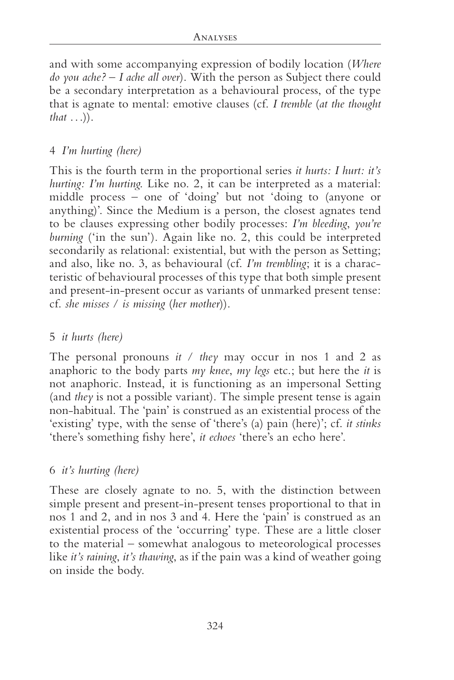and with some accompanying expression of bodily location (*Where do you ache? – I ache all over*). With the person as Subject there could be a secondary interpretation as a behavioural process, of the type that is agnate to mental: emotive clauses (cf. *I tremble* (*at the thought that* . . .)).

# 4 *I'm hurting (here)*

This is the fourth term in the proportional series *it hurts: I hurt: it's hurting: I'm hurting*. Like no. 2, it can be interpreted as a material: middle process – one of 'doing' but not 'doing to (anyone or anything)'. Since the Medium is a person, the closest agnates tend to be clauses expressing other bodily processes: *I'm bleeding*, *you're burning* ('in the sun'). Again like no. 2, this could be interpreted secondarily as relational: existential, but with the person as Setting; and also, like no. 3, as behavioural (cf. *I'm trembling*; it is a characteristic of behavioural processes of this type that both simple present and present-in-present occur as variants of unmarked present tense: cf. *she misses* / *is missing* (*her mother*)).

# 5 *it hurts (here)*

The personal pronouns *it* / *they* may occur in nos 1 and 2 as anaphoric to the body parts *my knee*, *my legs* etc.; but here the *it* is not anaphoric. Instead, it is functioning as an impersonal Setting (and *they* is not a possible variant). The simple present tense is again non-habitual. The 'pain' is construed as an existential process of the 'existing' type, with the sense of 'there's (a) pain (here)'; cf. *it stinks*  'there's something fishy here', *it echoes* 'there's an echo here'.

# 6 *it's hurting (here)*

These are closely agnate to no. 5, with the distinction between simple present and present-in-present tenses proportional to that in nos 1 and 2, and in nos 3 and 4. Here the 'pain' is construed as an existential process of the 'occurring' type. These are a little closer to the material – somewhat analogous to meteorological processes like *it's raining*, *it's thawing*, as if the pain was a kind of weather going on inside the body.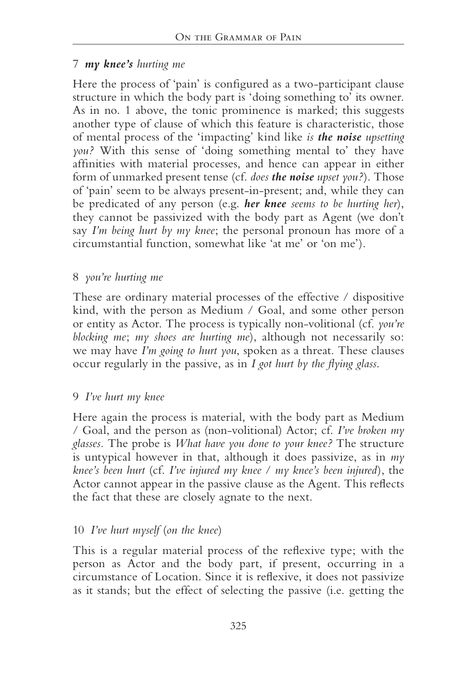# 7 *my knee's hurting me*

Here the process of 'pain' is configured as a two-participant clause structure in which the body part is 'doing something to' its owner. As in no. 1 above, the tonic prominence is marked; this suggests another type of clause of which this feature is characteristic, those of mental process of the 'impacting' kind like *is the noise upsetting you?* With this sense of 'doing something mental to' they have affinities with material processes, and hence can appear in either form of unmarked present tense (cf. *does the noise upset you?*). Those of 'pain' seem to be always present-in-present; and, while they can be predicated of any person (e.g. *her knee seems to be hurting her*), they cannot be passivized with the body part as Agent (we don't say *I'm being hurt by my knee*; the personal pronoun has more of a circumstantial function, somewhat like 'at me' or 'on me').

# 8 *you're hurting me*

These are ordinary material processes of the effective / dispositive kind, with the person as Medium / Goal, and some other person or entity as Actor. The process is typically non-volitional (cf. *you're blocking me*; *my shoes are hurting me*), although not necessarily so: we may have *I'm going to hurt you*, spoken as a threat. These clauses occur regularly in the passive, as in *I got hurt by the flying glass*.

# 9 *I've hurt my knee*

Here again the process is material, with the body part as Medium / Goal, and the person as (non-volitional) Actor; cf. *I've broken my glasses.* The probe is *What have you done to your knee?* The structure is untypical however in that, although it does passivize, as in *my knee's been hurt* (cf. *I've injured my knee* / *my knee's been injured*), the Actor cannot appear in the passive clause as the Agent. This reflects the fact that these are closely agnate to the next.

# 10 *I've hurt myself* (*on the knee*)

This is a regular material process of the reflexive type; with the person as Actor and the body part, if present, occurring in a circumstance of Location. Since it is reflexive, it does not passivize as it stands; but the effect of selecting the passive (i.e. getting the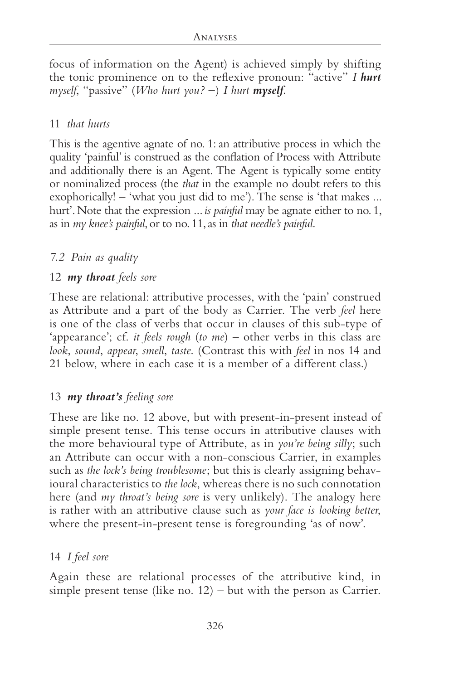focus of information on the Agent) is achieved simply by shifting the tonic prominence on to the reflexive pronoun: "active" *I hurt myself,* "passive" (*Who hurt you?*  $-$ ) *I hurt myself.* 

# 11 *that hurts*

This is the agentive agnate of no. 1: an attributive process in which the quality 'painful' is construed as the conflation of Process with Attribute and additionally there is an Agent. The Agent is typically some entity or nominalized process (the *that* in the example no doubt refers to this exophorically! – 'what you just did to me'). The sense is 'that makes ... hurt'. Note that the expression ... *is painful* may be agnate either to no. 1, as in *my knee's painful*, or to no. 11, as in *that needle's painful*.

# *7.2 Pain as quality*

# 12 *my throat feels sore*

These are relational: attributive processes, with the 'pain' construed as Attribute and a part of the body as Carrier. The verb *feel* here is one of the class of verbs that occur in clauses of this sub-type of 'appearance'; cf. *it feels rough* (*to me*) – other verbs in this class are *look*, *sound*, *appear*, *smell*, *taste*. (Contrast this with *feel* in nos 14 and 21 below, where in each case it is a member of a different class.)

# 13 *my throat's feeling sore*

These are like no. 12 above, but with present-in-present instead of simple present tense. This tense occurs in attributive clauses with the more behavioural type of Attribute, as in *you're being silly*; such an Attribute can occur with a non-conscious Carrier, in examples such as *the lock's being troublesome*; but this is clearly assigning behavioural characteristics to *the lock*, whereas there is no such connotation here (and *my throat's being sore* is very unlikely). The analogy here is rather with an attributive clause such as *your face is looking better*, where the present-in-present tense is foregrounding 'as of now'.

## 14 *I feel sore*

Again these are relational processes of the attributive kind, in simple present tense (like no.  $12$ ) – but with the person as Carrier.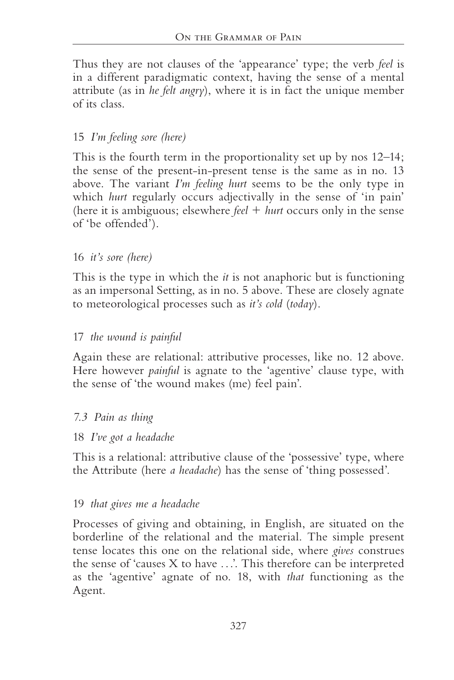Thus they are not clauses of the 'appearance' type; the verb *feel* is in a different paradigmatic context, having the sense of a mental attribute (as in *he felt angry*), where it is in fact the unique member of its class.

# 15 *I'm feeling sore (here)*

This is the fourth term in the proportionality set up by nos 12–14; the sense of the present-in-present tense is the same as in no. 13 above. The variant *I'm feeling hurt* seems to be the only type in which *hurt* regularly occurs adjectivally in the sense of 'in pain' (here it is ambiguous; elsewhere  $\text{feel} + \text{hurt}$  occurs only in the sense of 'be offended').

## 16 *it's sore (here)*

This is the type in which the *it* is not anaphoric but is functioning as an impersonal Setting, as in no. 5 above. These are closely agnate to meteorological processes such as *it's cold* (*today*).

# 17 *the wound is painful*

Again these are relational: attributive processes, like no. 12 above. Here however *painful* is agnate to the 'agentive' clause type, with the sense of 'the wound makes (me) feel pain'.

## *7.3 Pain as thing*

## 18 *I've got a headache*

This is a relational: attributive clause of the 'possessive' type, where the Attribute (here *a headache*) has the sense of 'thing possessed'.

## 19 *that gives me a headache*

Processes of giving and obtaining, in English, are situated on the borderline of the relational and the material. The simple present tense locates this one on the relational side, where *gives* construes the sense of 'causes X to have . . .'. This therefore can be interpreted as the 'agentive' agnate of no. 18, with *that* functioning as the Agent.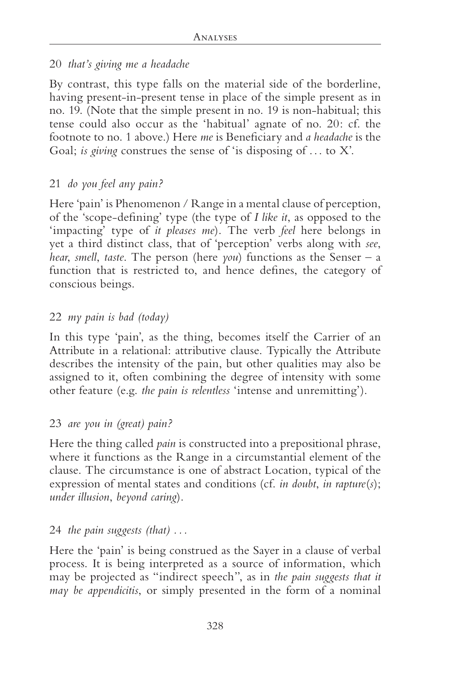## 20 *that's giving me a headache*

By contrast, this type falls on the material side of the borderline, having present-in-present tense in place of the simple present as in no. 19. (Note that the simple present in no. 19 is non-habitual; this tense could also occur as the 'habitual' agnate of no. 20: cf. the footnote to no. 1 above.) Here *me* is Beneficiary and *a headache* is the Goal; *is giving* construes the sense of 'is disposing of . . . to X'.

## 21 *do you feel any pain?*

Here 'pain' is Phenomenon / Range in a mental clause of perception, of the 'scope-defining' type (the type of *I like it*, as opposed to the 'impacting' type of *it pleases me*). The verb *feel* here belongs in yet a third distinct class, that of 'perception' verbs along with *see*, *hear*, *smell*, *taste*. The person (here *you*) functions as the Senser – a function that is restricted to, and hence defines, the category of conscious beings.

## 22 *my pain is bad (today)*

In this type 'pain', as the thing, becomes itself the Carrier of an Attribute in a relational: attributive clause. Typically the Attribute describes the intensity of the pain, but other qualities may also be assigned to it, often combining the degree of intensity with some other feature (e.g. *the pain is relentless* 'intense and unremitting').

## 23 *are you in (great) pain?*

Here the thing called *pain* is constructed into a prepositional phrase, where it functions as the Range in a circumstantial element of the clause. The circumstance is one of abstract Location, typical of the expression of mental states and conditions (cf. *in doubt*, *in rapture*(*s*); *under illusion*, *beyond caring*).

## 24 *the pain suggests (that) . . .*

Here the 'pain' is being construed as the Sayer in a clause of verbal process. It is being interpreted as a source of information, which may be projected as "indirect speech", as in *the pain suggests that it may be appendicitis*, or simply presented in the form of a nominal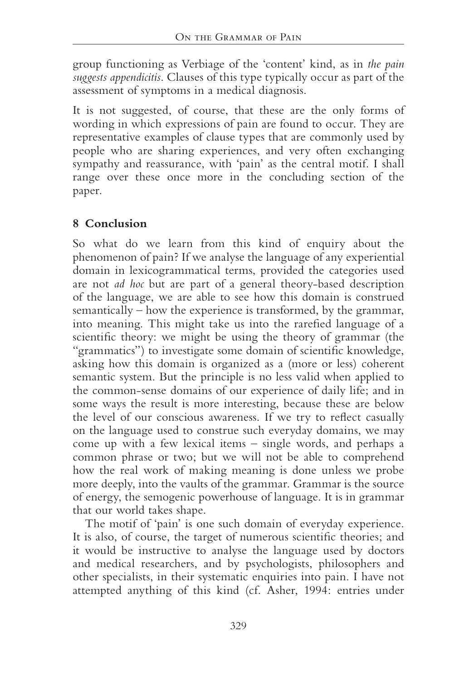group functioning as Verbiage of the 'content' kind, as in *the pain suggests appendicitis*. Clauses of this type typically occur as part of the assessment of symptoms in a medical diagnosis.

It is not suggested, of course, that these are the only forms of wording in which expressions of pain are found to occur. They are representative examples of clause types that are commonly used by people who are sharing experiences, and very often exchanging sympathy and reassurance, with 'pain' as the central motif. I shall range over these once more in the concluding section of the paper.

# **8 Conclusion**

So what do we learn from this kind of enquiry about the phenomenon of pain? If we analyse the language of any experiential domain in lexicogrammatical terms, provided the categories used are not *ad hoc* but are part of a general theory-based description of the language, we are able to see how this domain is construed semantically – how the experience is transformed, by the grammar, into meaning. This might take us into the rarefied language of a scientific theory: we might be using the theory of grammar (the "grammatics") to investigate some domain of scientific knowledge, asking how this domain is organized as a (more or less) coherent semantic system. But the principle is no less valid when applied to the common-sense domains of our experience of daily life; and in some ways the result is more interesting, because these are below the level of our conscious awareness. If we try to reflect casually on the language used to construe such everyday domains, we may come up with a few lexical items – single words, and perhaps a common phrase or two; but we will not be able to comprehend how the real work of making meaning is done unless we probe more deeply, into the vaults of the grammar. Grammar is the source of energy, the semogenic powerhouse of language. It is in grammar that our world takes shape.

 The motif of 'pain' is one such domain of everyday experience. It is also, of course, the target of numerous scientific theories; and it would be instructive to analyse the language used by doctors and medical researchers, and by psychologists, philosophers and other specialists, in their systematic enquiries into pain. I have not attempted anything of this kind (cf. Asher, 1994: entries under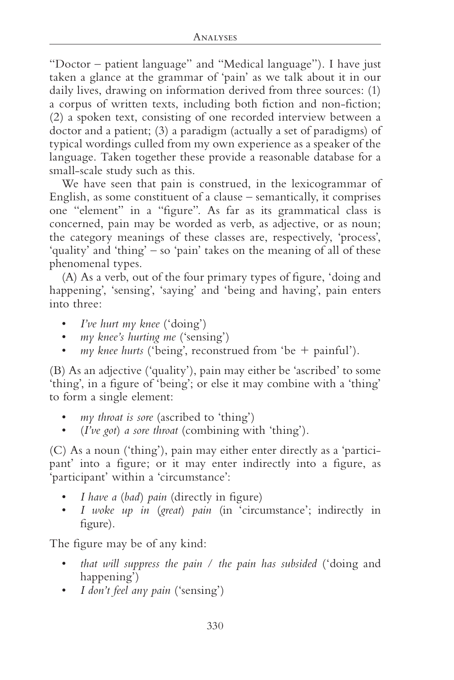"Doctor – patient language" and "Medical language"). I have just taken a glance at the grammar of 'pain' as we talk about it in our daily lives, drawing on information derived from three sources: (1) a corpus of written texts, including both fiction and non-fiction; (2) a spoken text, consisting of one recorded interview between a doctor and a patient; (3) a paradigm (actually a set of paradigms) of typical wordings culled from my own experience as a speaker of the language. Taken together these provide a reasonable database for a small-scale study such as this.

We have seen that pain is construed, in the lexicogrammar of English, as some constituent of a clause – semantically, it comprises one "element" in a "figure". As far as its grammatical class is concerned, pain may be worded as verb, as adjective, or as noun; the category meanings of these classes are, respectively, 'process', 'quality' and 'thing' – so 'pain' takes on the meaning of all of these phenomenal types.

 $(A)$  As a verb, out of the four primary types of figure, 'doing and happening', 'sensing', 'saying' and 'being and having', pain enters into three:

- *I've hurt my knee* ('doing')
- *my knee's hurting me* ('sensing')
- *my knee hurts* ('being', reconstrued from 'be + painful').

(B) As an adjective ('quality'), pain may either be 'ascribed' to some 'thing', in a figure of 'being'; or else it may combine with a 'thing' to form a single element:

- *my throat is sore* (ascribed to 'thing')
- (*I've got*) *a sore throat* (combining with 'thing').

(C) As a noun ('thing'), pain may either enter directly as a 'participant' into a figure; or it may enter indirectly into a figure, as 'participant' within a 'circumstance':

- *I have a (bad) pain (directly in figure)*
- *I woke up in* (*great*) *pain* (in 'circumstance'; indirectly in figure).

The figure may be of any kind:

- *that will suppress the pain* / *the pain has subsided* ('doing and happening')
- *I don't feel any pain* ('sensing')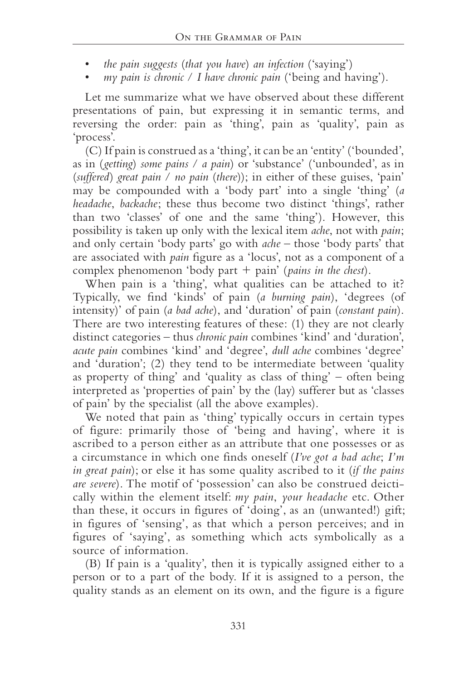- *the pain suggests* (*that you have*) *an infection* ('saying')
- *my pain is chronic* / *I have chronic pain* ('being and having').

 Let me summarize what we have observed about these different presentations of pain, but expressing it in semantic terms, and reversing the order: pain as 'thing', pain as 'quality', pain as 'process'.

 (C) If pain is construed as a 'thing', it can be an 'entity' ('bounded', as in (*getting*) *some pains* / *a pain*) or 'substance' ('unbounded', as in (*suffered*) *great pain* / *no pain* (*there*)); in either of these guises, 'pain' may be compounded with a 'body part' into a single 'thing' (*a headache*, *backache*; these thus become two distinct 'things', rather than two 'classes' of one and the same 'thing'). However, this possibility is taken up only with the lexical item *ache*, not with *pain*; and only certain 'body parts' go with *ache* – those 'body parts' that are associated with *pain* figure as a 'locus', not as a component of a complex phenomenon 'body part + pain' (*pains in the chest*).

 When pain is a 'thing', what qualities can be attached to it? Typically, we find 'kinds' of pain (*a burning pain*), 'degrees (of intensity)' of pain (*a bad ache*), and 'duration' of pain (*constant pain*). There are two interesting features of these: (1) they are not clearly distinct categories – thus *chronic pain* combines 'kind' and 'duration', *acute pain* combines 'kind' and 'degree', *dull ache* combines 'degree' and 'duration'; (2) they tend to be intermediate between 'quality as property of thing' and 'quality as class of thing' – often being interpreted as 'properties of pain' by the (lay) sufferer but as 'classes of pain' by the specialist (all the above examples).

 We noted that pain as 'thing' typically occurs in certain types of figure: primarily those of 'being and having', where it is ascribed to a person either as an attribute that one possesses or as a circumstance in which one finds oneself (*I've got a bad ache*; *I'm in great pain*); or else it has some quality ascribed to it (*if the pains are severe*). The motif of 'possession' can also be construed deictically within the element itself: *my pain*, *your headache* etc. Other than these, it occurs in figures of 'doing', as an (unwanted!) gift; in figures of 'sensing', as that which a person perceives; and in figures of 'saying', as something which acts symbolically as a source of information.

 (B) If pain is a 'quality', then it is typically assigned either to a person or to a part of the body. If it is assigned to a person, the quality stands as an element on its own, and the figure is a figure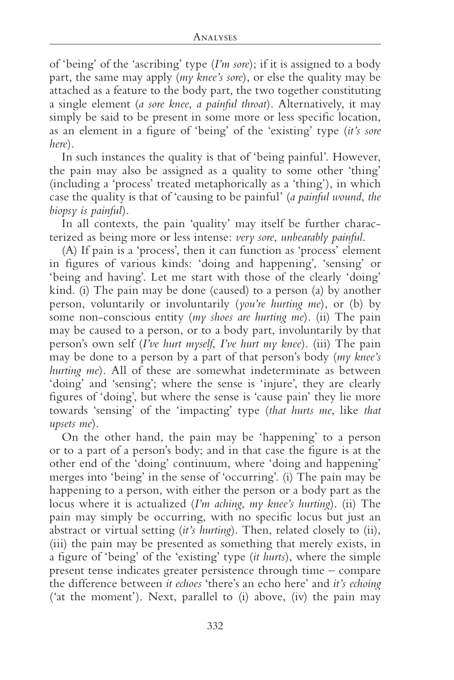of 'being' of the 'ascribing' type (*I'm sore*); if it is assigned to a body part, the same may apply (*my knee's sore*), or else the quality may be attached as a feature to the body part, the two together constituting a single element (*a sore knee*, *a painful throat*). Alternatively, it may simply be said to be present in some more or less specific location, as an element in a figure of 'being' of the 'existing' type (*it's sore here*).

 In such instances the quality is that of 'being painful'. However, the pain may also be assigned as a quality to some other 'thing' (including a 'process' treated metaphorically as a 'thing'), in which case the quality is that of 'causing to be painful' (*a painful wound*, *the biopsy is painful*).

 In all contexts, the pain 'quality' may itself be further characterized as being more or less intense: *very sore*, *unbearably painful*.

 (A) If pain is a 'process', then it can function as 'process' element in figures of various kinds: 'doing and happening', 'sensing' or 'being and having'. Let me start with those of the clearly 'doing' kind. (i) The pain may be done (caused) to a person (a) by another person, voluntarily or involuntarily (*you're hurting me*), or (b) by some non-conscious entity (*my shoes are hurting me*). (ii) The pain may be caused to a person, or to a body part, involuntarily by that person's own self (*I've hurt myself*, *I've hurt my knee*). (iii) The pain may be done to a person by a part of that person's body (*my knee's hurting me*). All of these are somewhat indeterminate as between 'doing' and 'sensing'; where the sense is 'injure', they are clearly figures of 'doing', but where the sense is 'cause pain' they lie more towards 'sensing' of the 'impacting' type (*that hurts me*, like *that upsets me*).

 On the other hand, the pain may be 'happening' to a person or to a part of a person's body; and in that case the figure is at the other end of the 'doing' continuum, where 'doing and happening' merges into 'being' in the sense of 'occurring'. (i) The pain may be happening to a person, with either the person or a body part as the locus where it is actualized (*I'm aching*, *my knee's hurting*). (ii) The pain may simply be occurring, with no specific locus but just an abstract or virtual setting (*it's hurting*). Then, related closely to (ii), (iii) the pain may be presented as something that merely exists, in a figure of 'being' of the 'existing' type (*it hurts*), where the simple present tense indicates greater persistence through time – compare the difference between *it echoes* 'there's an echo here' and *it's echoing* ('at the moment'). Next, parallel to (i) above, (iv) the pain may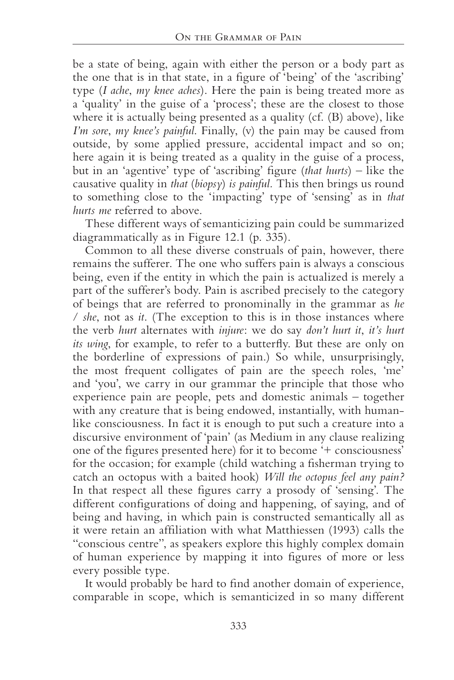be a state of being, again with either the person or a body part as the one that is in that state, in a figure of 'being' of the 'ascribing' type (*I ache*, *my knee aches*). Here the pain is being treated more as a 'quality' in the guise of a 'process'; these are the closest to those where it is actually being presented as a quality (cf. (B) above), like *I'm sore*, *my knee's painful*. Finally, (v) the pain may be caused from outside, by some applied pressure, accidental impact and so on; here again it is being treated as a quality in the guise of a process, but in an 'agentive' type of 'ascribing' figure (*that hurts*) – like the causative quality in *that* (*biopsy*) *is painful.* This then brings us round to something close to the 'impacting' type of 'sensing' as in *that hurts me* referred to above.

 These different ways of semanticizing pain could be summarized diagrammatically as in Figure 12.1 (p. 335).

 Common to all these diverse construals of pain, however, there remains the sufferer. The one who suffers pain is always a conscious being, even if the entity in which the pain is actualized is merely a part of the sufferer's body. Pain is ascribed precisely to the category of beings that are referred to pronominally in the grammar as *he*  / *she*, not as *it*. (The exception to this is in those instances where the verb *hurt* alternates with *injure*: we do say *don't hurt it*, *it's hurt its wing*, for example, to refer to a butterfly. But these are only on the borderline of expressions of pain.) So while, unsurprisingly, the most frequent colligates of pain are the speech roles, 'me' and 'you', we carry in our grammar the principle that those who experience pain are people, pets and domestic animals – together with any creature that is being endowed, instantially, with humanlike consciousness. In fact it is enough to put such a creature into a discursive environment of 'pain' (as Medium in any clause realizing one of the figures presented here) for it to become '+ consciousness' for the occasion; for example (child watching a fisherman trying to catch an octopus with a baited hook) *Will the octopus feel any pain?* In that respect all these figures carry a prosody of 'sensing'. The different configurations of doing and happening, of saying, and of being and having, in which pain is constructed semantically all as it were retain an affiliation with what Matthiessen (1993) calls the "conscious centre", as speakers explore this highly complex domain of human experience by mapping it into figures of more or less every possible type.

It would probably be hard to find another domain of experience, comparable in scope, which is semanticized in so many different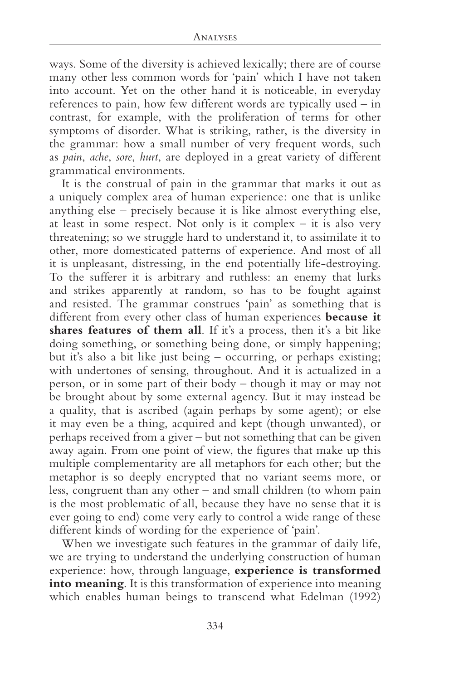ways. Some of the diversity is achieved lexically; there are of course many other less common words for 'pain' which I have not taken into account. Yet on the other hand it is noticeable, in everyday references to pain, how few different words are typically used – in contrast, for example, with the proliferation of terms for other symptoms of disorder. What is striking, rather, is the diversity in the grammar: how a small number of very frequent words, such as *pain*, *ache*, *sore*, *hurt*, are deployed in a great variety of different grammatical environments.

 It is the construal of pain in the grammar that marks it out as a uniquely complex area of human experience: one that is unlike anything else – precisely because it is like almost everything else, at least in some respect. Not only is it complex – it is also very threatening; so we struggle hard to understand it, to assimilate it to other, more domesticated patterns of experience. And most of all it is unpleasant, distressing, in the end potentially life-destroying. To the sufferer it is arbitrary and ruthless: an enemy that lurks and strikes apparently at random, so has to be fought against and resisted. The grammar construes 'pain' as something that is different from every other class of human experiences **because it**  shares features of them all. If it's a process, then it's a bit like doing something, or something being done, or simply happening; but it's also a bit like just being – occurring, or perhaps existing; with undertones of sensing, throughout. And it is actualized in a person, or in some part of their body – though it may or may not be brought about by some external agency. But it may instead be a quality, that is ascribed (again perhaps by some agent); or else it may even be a thing, acquired and kept (though unwanted), or perhaps received from a giver – but not something that can be given away again. From one point of view, the figures that make up this multiple complementarity are all metaphors for each other; but the metaphor is so deeply encrypted that no variant seems more, or less, congruent than any other – and small children (to whom pain is the most problematic of all, because they have no sense that it is ever going to end) come very early to control a wide range of these different kinds of wording for the experience of 'pain'.

 When we investigate such features in the grammar of daily life, we are trying to understand the underlying construction of human experience: how, through language, **experience is transformed into meaning**. It is this transformation of experience into meaning which enables human beings to transcend what Edelman (1992)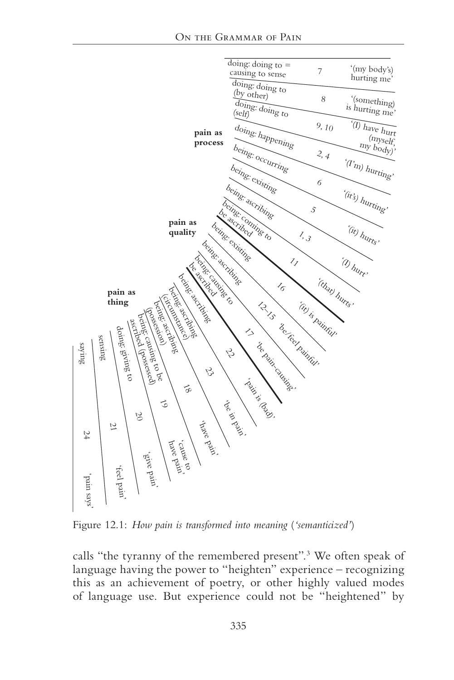

Figure 12.1: *How pain is transformed into meaning* (*'semanticized'*)

calls "the tyranny of the remembered present".3 We often speak of language having the power to "heighten" experience – recognizing this as an achievement of poetry, or other highly valued modes of language use. But experience could not be "heightened" by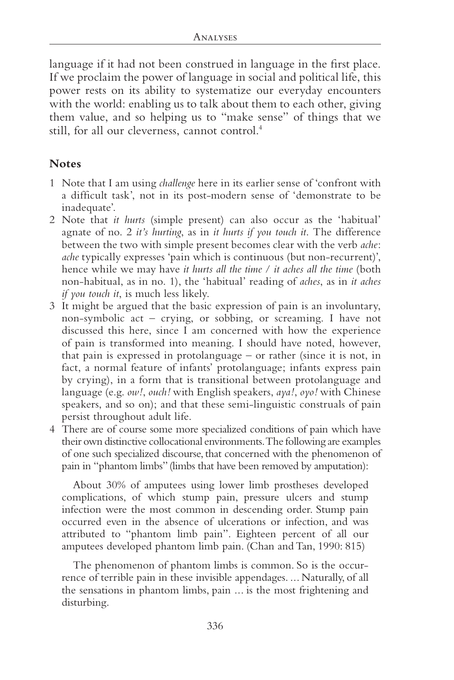language if it had not been construed in language in the first place. If we proclaim the power of language in social and political life, this power rests on its ability to systematize our everyday encounters with the world: enabling us to talk about them to each other, giving them value, and so helping us to "make sense" of things that we still, for all our cleverness, cannot control.<sup>4</sup>

#### **Notes**

- 1 Note that I am using *challenge* here in its earlier sense of 'confront with a difficult task', not in its post-modern sense of 'demonstrate to be inadequate'.
- 2 Note that *it hurts* (simple present) can also occur as the 'habitual' agnate of no. 2 *it's hurting*, as in *it hurts if you touch it*. The difference between the two with simple present becomes clear with the verb *ache*: *ache* typically expresses 'pain which is continuous (but non-recurrent)', hence while we may have *it hurts all the time* / *it aches all the time* (both non-habitual, as in no. 1), the 'habitual' reading of *aches*, as in *it aches if you touch it*, is much less likely.
- 3 It might be argued that the basic expression of pain is an involuntary, non-symbolic act – crying, or sobbing, or screaming. I have not discussed this here, since I am concerned with how the experience of pain is transformed into meaning. I should have noted, however, that pain is expressed in protolanguage – or rather (since it is not, in fact, a normal feature of infants' protolanguage; infants express pain by crying), in a form that is transitional between protolanguage and language (e.g. *ow!*, *ouch!* with English speakers, *aya!*, *oyo!* with Chinese speakers, and so on); and that these semi-linguistic construals of pain persist throughout adult life.
- 4 There are of course some more specialized conditions of pain which have their own distinctive collocational environments. The following are examples of one such specialized discourse, that concerned with the phenomenon of pain in "phantom limbs" (limbs that have been removed by amputation):

 About 30% of amputees using lower limb prostheses developed complications, of which stump pain, pressure ulcers and stump infection were the most common in descending order. Stump pain occurred even in the absence of ulcerations or infection, and was attributed to "phantom limb pain". Eighteen percent of all our amputees developed phantom limb pain. (Chan and Tan, 1990: 815)

 The phenomenon of phantom limbs is common. So is the occurrence of terrible pain in these invisible appendages.... Naturally, of all the sensations in phantom limbs, pain . . . is the most frightening and disturbing.